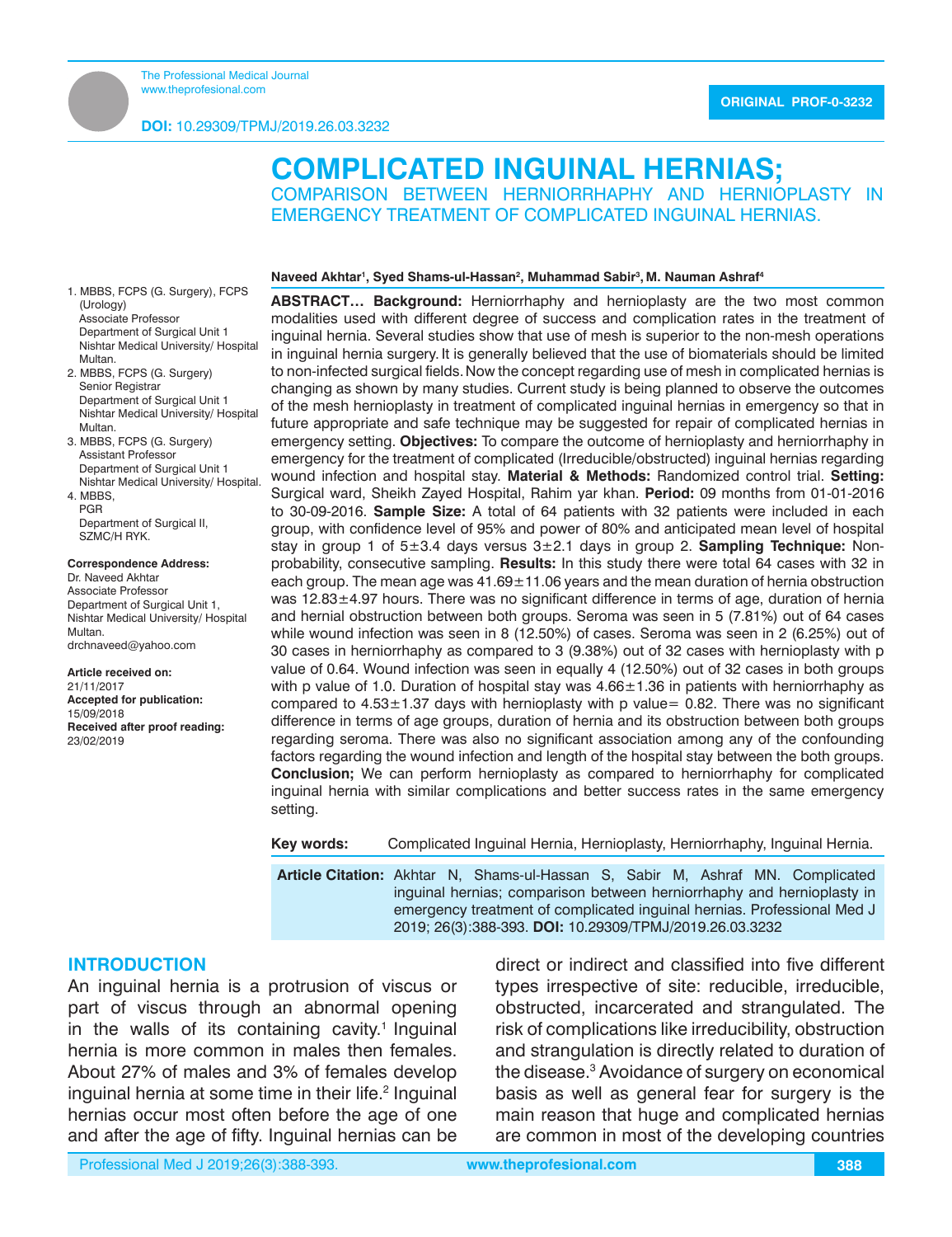1. MBBS, FCPS (G. Surgery), FCPS

2. MBBS, FCPS (G. Surgery) Senior Registrar

3. MBBS, FCPS (G. Surgery) Assistant Professor Department of Surgical Unit 1 Nishtar Medical University/ Hospital.

Department of Surgical II, SZMC/H RYK.

**Correspondence Address:** Dr. Naveed Akhtar Associate Professor Department of Surgical Unit 1, Nishtar Medical University/ Hospital

drchnaveed@yahoo.com **Article received on:** 21/11/2017

**Accepted for publication:**

**Received after proof reading:**

Department of Surgical Unit 1 Nishtar Medical University/ Hospital

(Urology) Associate Professor Department of Surgical Unit 1 Nishtar Medical University/ Hospital

Multan.

Multan.

4. MBBS, PGR

Multan.

15/09/2018

23/02/2019

# **COMPLICATED INGUINAL HERNIAS;**

COMPARISON BETWEEN HERNIORRHAPHY AND HERNIOPLASTY IN EMERGENCY TREATMENT OF COMPLICATED INGUINAL HERNIAS.

#### **Naveed Akhtar1 , Syed Shams-ul-Hassan2 , Muhammad Sabir3 , M. Nauman Ashraf4**

**ABSTRACT… Background:** Herniorrhaphy and hernioplasty are the two most common modalities used with different degree of success and complication rates in the treatment of inguinal hernia. Several studies show that use of mesh is superior to the non-mesh operations in inguinal hernia surgery. It is generally believed that the use of biomaterials should be limited to non-infected surgical fields.Now the concept regarding use of mesh in complicated hernias is changing as shown by many studies. Current study is being planned to observe the outcomes of the mesh hernioplasty in treatment of complicated inguinal hernias in emergency so that in future appropriate and safe technique may be suggested for repair of complicated hernias in emergency setting. **Objectives:** To compare the outcome of hernioplasty and herniorrhaphy in emergency for the treatment of complicated (Irreducible/obstructed) inguinal hernias regarding wound infection and hospital stay. **Material & Methods:** Randomized control trial. **Setting:**  Surgical ward, Sheikh Zayed Hospital, Rahim yar khan. **Period:** 09 months from 01-01-2016 to 30-09-2016. **Sample Size:** A total of 64 patients with 32 patients were included in each group, with confidence level of 95% and power of 80% and anticipated mean level of hospital stay in group 1 of 5±3.4 days versus 3±2.1 days in group 2. **Sampling Technique:** Nonprobability, consecutive sampling. **Results:** In this study there were total 64 cases with 32 in each group. The mean age was  $41.69 \pm 11.06$  years and the mean duration of hernia obstruction was 12.83±4.97 hours. There was no significant difference in terms of age, duration of hernia and hernial obstruction between both groups. Seroma was seen in 5 (7.81%) out of 64 cases while wound infection was seen in 8 (12.50%) of cases. Seroma was seen in 2 (6.25%) out of 30 cases in herniorrhaphy as compared to 3 (9.38%) out of 32 cases with hernioplasty with p value of 0.64. Wound infection was seen in equally 4 (12.50%) out of 32 cases in both groups with p value of 1.0. Duration of hospital stay was  $4.66 \pm 1.36$  in patients with herniorrhaphy as compared to  $4.53 \pm 1.37$  days with hernioplasty with p value= 0.82. There was no significant difference in terms of age groups, duration of hernia and its obstruction between both groups regarding seroma. There was also no significant association among any of the confounding factors regarding the wound infection and length of the hospital stay between the both groups. **Conclusion;** We can perform hernioplasty as compared to herniorrhaphy for complicated inguinal hernia with similar complications and better success rates in the same emergency setting.

**Key words:** Complicated Inguinal Hernia, Hernioplasty, Herniorrhaphy, Inguinal Hernia.

**Article Citation:** Akhtar N, Shams-ul-Hassan S, Sabir M, Ashraf MN. Complicated inguinal hernias; comparison between herniorrhaphy and hernioplasty in emergency treatment of complicated inguinal hernias. Professional Med J 2019; 26(3):388-393. **DOI:** 10.29309/TPMJ/2019.26.03.3232

## **INTRODUCTION**

An inguinal hernia is a protrusion of viscus or part of viscus through an abnormal opening in the walls of its containing cavity.<sup>1</sup> Inguinal hernia is more common in males then females. About 27% of males and 3% of females develop inguinal hernia at some time in their life.<sup>2</sup> Inguinal hernias occur most often before the age of one and after the age of fifty. Inguinal hernias can be

direct or indirect and classified into five different types irrespective of site: reducible, irreducible, obstructed, incarcerated and strangulated. The risk of complications like irreducibility, obstruction and strangulation is directly related to duration of the disease.<sup>3</sup> Avoidance of surgery on economical basis as well as general fear for surgery is the main reason that huge and complicated hernias are common in most of the developing countries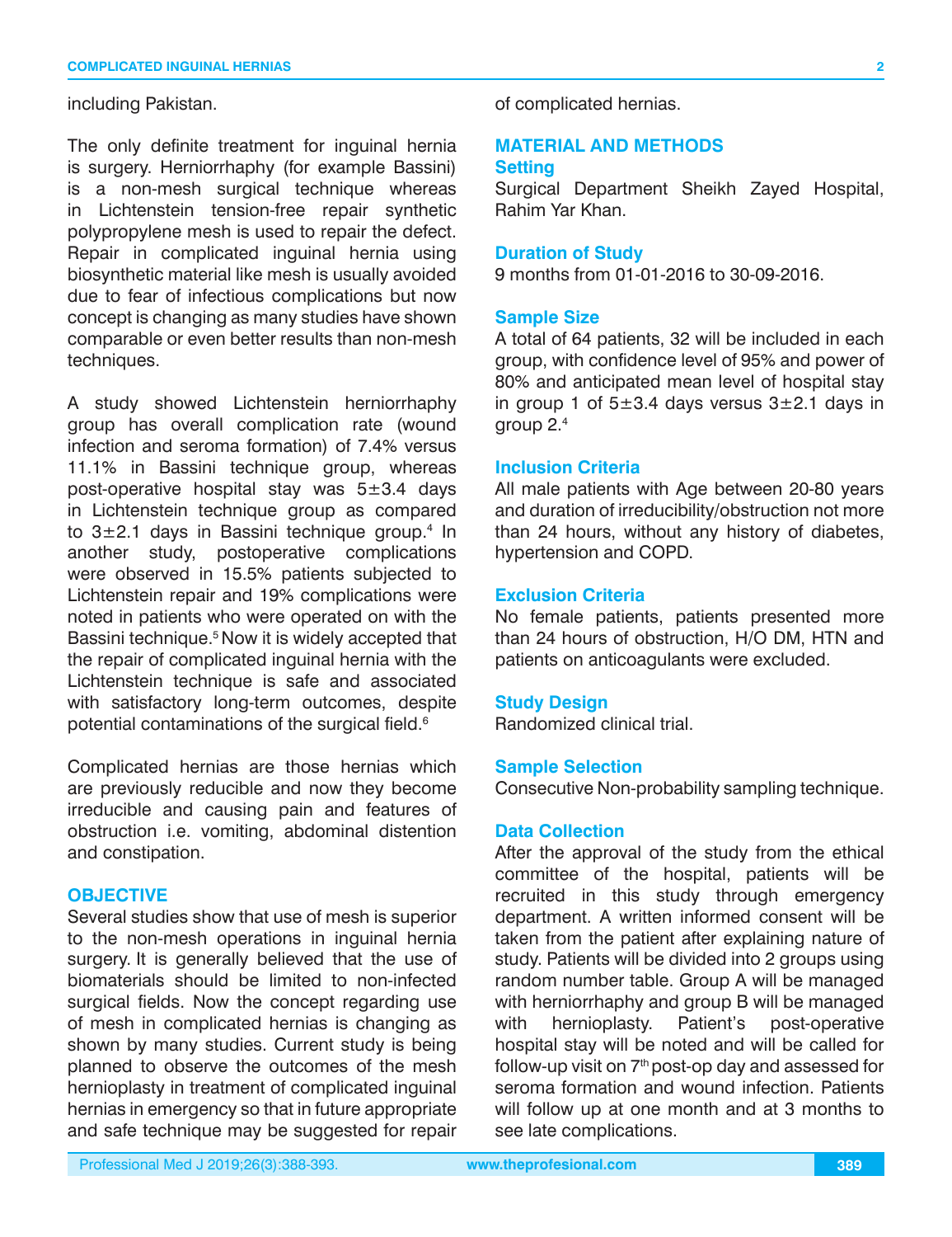including Pakistan.

The only definite treatment for inguinal hernia is surgery. Herniorrhaphy (for example Bassini) is a non-mesh surgical technique whereas in Lichtenstein tension-free repair synthetic polypropylene mesh is used to repair the defect. Repair in complicated inguinal hernia using biosynthetic material like mesh is usually avoided due to fear of infectious complications but now concept is changing as many studies have shown comparable or even better results than non-mesh techniques.

A study showed Lichtenstein herniorrhaphy group has overall complication rate (wound infection and seroma formation) of 7.4% versus 11.1% in Bassini technique group, whereas post-operative hospital stay was 5±3.4 days in Lichtenstein technique group as compared to 3 $\pm$ 2.1 days in Bassini technique group.<sup>4</sup> In another study, postoperative complications were observed in 15.5% patients subjected to Lichtenstein repair and 19% complications were noted in patients who were operated on with the Bassini technique.<sup>5</sup> Now it is widely accepted that the repair of complicated inguinal hernia with the Lichtenstein technique is safe and associated with satisfactory long-term outcomes, despite potential contaminations of the surgical field.<sup>6</sup>

Complicated hernias are those hernias which are previously reducible and now they become irreducible and causing pain and features of obstruction i.e. vomiting, abdominal distention and constipation.

# **OBJECTIVE**

Several studies show that use of mesh is superior to the non-mesh operations in inguinal hernia surgery. It is generally believed that the use of biomaterials should be limited to non-infected surgical fields. Now the concept regarding use of mesh in complicated hernias is changing as shown by many studies. Current study is being planned to observe the outcomes of the mesh hernioplasty in treatment of complicated inguinal hernias in emergency so that in future appropriate and safe technique may be suggested for repair

of complicated hernias.

## **MATERIAL AND METHODS Setting**

Surgical Department Sheikh Zayed Hospital, Rahim Yar Khan.

## **Duration of Study**

9 months from 01-01-2016 to 30-09-2016.

## **Sample Size**

A total of 64 patients, 32 will be included in each group, with confidence level of 95% and power of 80% and anticipated mean level of hospital stay in group 1 of  $5\pm3.4$  days versus  $3\pm2.1$  days in aroup  $2<sup>4</sup>$ 

## **Inclusion Criteria**

All male patients with Age between 20-80 years and duration of irreducibility/obstruction not more than 24 hours, without any history of diabetes, hypertension and COPD.

## **Exclusion Criteria**

No female patients, patients presented more than 24 hours of obstruction, H/O DM, HTN and patients on anticoagulants were excluded.

## **Study Design**

Randomized clinical trial.

#### **Sample Selection**

Consecutive Non-probability sampling technique.

## **Data Collection**

After the approval of the study from the ethical committee of the hospital, patients will be recruited in this study through emergency department. A written informed consent will be taken from the patient after explaining nature of study. Patients will be divided into 2 groups using random number table. Group A will be managed with herniorrhaphy and group B will be managed<br>with hernioplasty. Patient's post-operative with hernioplasty. Patient's post-operative hospital stay will be noted and will be called for follow-up visit on  $7<sup>th</sup>$  post-op day and assessed for seroma formation and wound infection. Patients will follow up at one month and at 3 months to see late complications.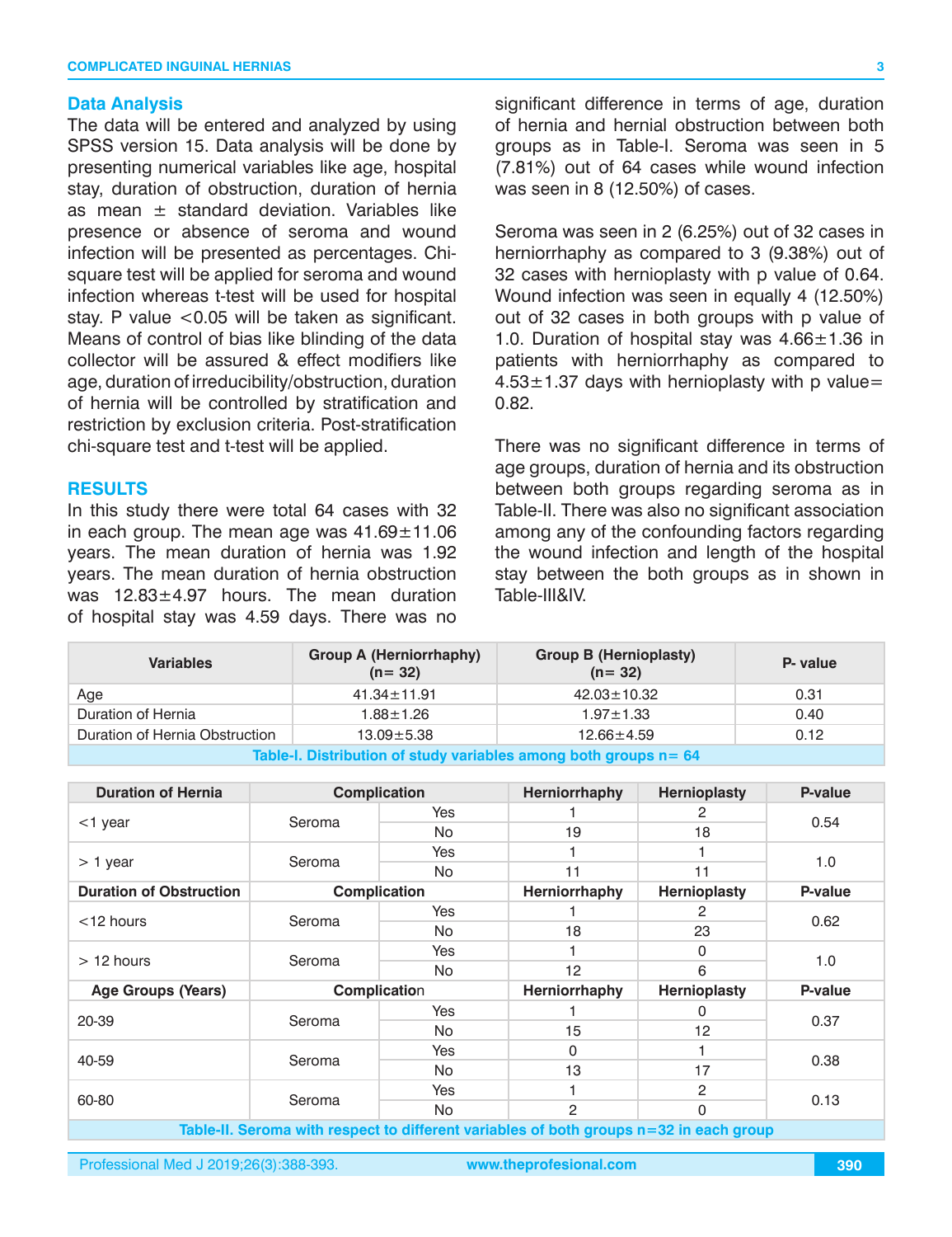## **Data Analysis**

The data will be entered and analyzed by using SPSS version 15. Data analysis will be done by presenting numerical variables like age, hospital stay, duration of obstruction, duration of hernia as mean  $\pm$  standard deviation. Variables like presence or absence of seroma and wound infection will be presented as percentages. Chisquare test will be applied for seroma and wound infection whereas t-test will be used for hospital stay. P value <0.05 will be taken as significant. Means of control of bias like blinding of the data collector will be assured & effect modifiers like age, duration of irreducibility/obstruction, duration of hernia will be controlled by stratification and restriction by exclusion criteria. Post-stratification chi-square test and t-test will be applied.

## **RESULTS**

In this study there were total 64 cases with 32 in each group. The mean age was  $41.69 \pm 11.06$ years. The mean duration of hernia was 1.92 years. The mean duration of hernia obstruction was 12.83±4.97 hours. The mean duration of hospital stay was 4.59 days. There was no significant difference in terms of age, duration of hernia and hernial obstruction between both groups as in Table-I. Seroma was seen in 5 (7.81%) out of 64 cases while wound infection was seen in 8 (12.50%) of cases.

Seroma was seen in 2 (6.25%) out of 32 cases in herniorrhaphy as compared to 3 (9.38%) out of 32 cases with hernioplasty with p value of 0.64. Wound infection was seen in equally 4 (12.50%) out of 32 cases in both groups with p value of 1.0. Duration of hospital stay was  $4.66 \pm 1.36$  in patients with herniorrhaphy as compared to  $4.53\pm1.37$  days with hernioplasty with p value= 0.82.

There was no significant difference in terms of age groups, duration of hernia and its obstruction between both groups regarding seroma as in Table-II. There was also no significant association among any of the confounding factors regarding the wound infection and length of the hospital stay between the both groups as in shown in Table-III&IV.

| <b>Variables</b>                                                             | <b>Group A (Herniorrhaphy)</b><br>$(n = 32)$ | <b>Group B (Hernioplasty)</b><br>$(n = 32)$ | P- value |  |
|------------------------------------------------------------------------------|----------------------------------------------|---------------------------------------------|----------|--|
| Age                                                                          | $41.34 \pm 11.91$                            | $42.03 \pm 10.32$                           | 0.31     |  |
| Duration of Hernia                                                           | $1.88 \pm 1.26$                              | $1.97 \pm 1.33$                             | 0.40     |  |
| Duration of Hernia Obstruction<br>0.12<br>$13.09 + 5.38$<br>$12.66 \pm 4.59$ |                                              |                                             |          |  |
| Table-I. Distribution of study variables among both groups n = 64            |                                              |                                             |          |  |

| <b>Duration of Hernia</b>                                                                |              | <b>Complication</b> | Herniorrhaphy  | Hernioplasty | P-value |
|------------------------------------------------------------------------------------------|--------------|---------------------|----------------|--------------|---------|
| Seroma<br>$<$ 1 year                                                                     |              | <b>Yes</b>          |                | 2            | 0.54    |
|                                                                                          |              | No.                 | 19             | 18           |         |
|                                                                                          |              | <b>Yes</b>          |                |              | 1.0     |
| $> 1$ year                                                                               | Seroma       | No.                 | 11             | 11           |         |
| <b>Duration of Obstruction</b>                                                           |              | <b>Complication</b> | Herniorrhaphy  | Hernioplasty | P-value |
| $<$ 12 hours                                                                             | Seroma       | <b>Yes</b>          |                | 2            | 0.62    |
|                                                                                          |              | No.                 | 18             | 23           |         |
|                                                                                          |              | Yes                 |                | 0            | 1.0     |
| $>12$ hours                                                                              | Seroma       | No.                 | 12             | 6            |         |
| <b>Age Groups (Years)</b>                                                                | Complication |                     | Herniorrhaphy  | Hernioplasty | P-value |
| 20-39                                                                                    | Seroma       | Yes                 |                | 0            | 0.37    |
|                                                                                          |              | No.                 | 15             | 12           |         |
| 40-59                                                                                    | Seroma       | Yes                 | $\mathbf{0}$   |              | 0.38    |
|                                                                                          |              | No.                 | 13             | 17           |         |
| 60-80                                                                                    | Seroma       | <b>Yes</b>          |                | 2            | 0.13    |
|                                                                                          |              | No.                 | $\mathfrak{p}$ | $\Omega$     |         |
| Table II, Osnama with nasnast to different worldblas of bath mergers of the scale were a |              |                     |                |              |         |

**Table-II. Seroma with respect to different variables of both groups n=32 in each group**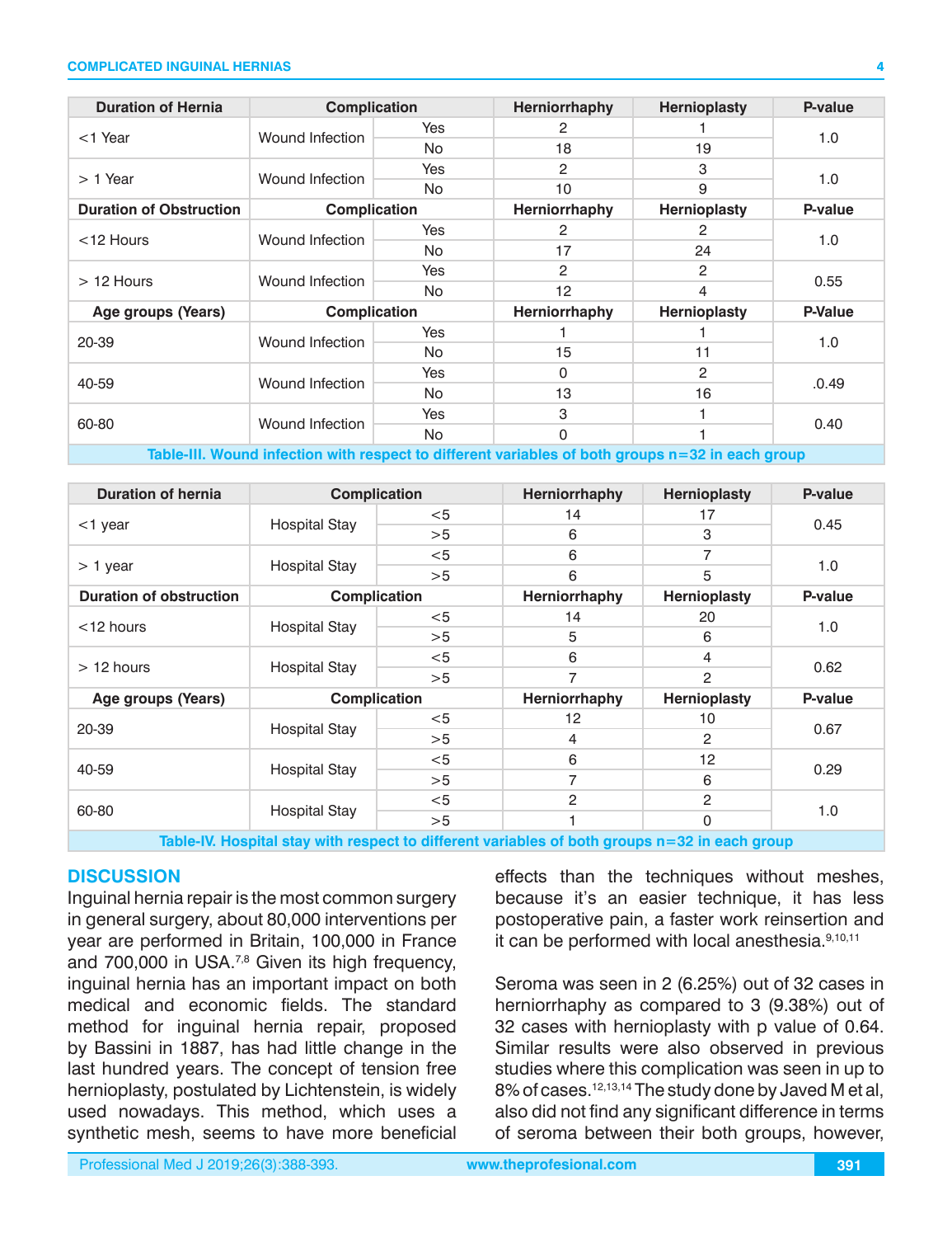#### **COMPLICATED INGUINAL HERNIAS**

| <b>Duration of Hernia</b>      | <b>Complication</b>    |            | Herniorrhaphy   | <b>Hernioplasty</b> | P-value        |
|--------------------------------|------------------------|------------|-----------------|---------------------|----------------|
| $<$ 1 Year                     | Wound Infection        | Yes        | 2               |                     | 1.0            |
|                                |                        | <b>No</b>  | 18              | 19                  |                |
|                                | Wound Infection        | Yes        | 2               | 3                   | 1.0            |
| $> 1$ Year                     |                        | <b>No</b>  | 10              | 9                   |                |
| <b>Duration of Obstruction</b> | <b>Complication</b>    |            | Herniorrhaphy   | <b>Hernioplasty</b> | P-value        |
| $<$ 12 Hours                   | Wound Infection        | <b>Yes</b> | 2               | 2                   | 1.0            |
|                                |                        | No.        | 17              | 24                  |                |
| $>12$ Hours                    | Wound Infection        | Yes        | 2               | 2                   | 0.55           |
|                                |                        | <b>No</b>  | 12 <sup>2</sup> | 4                   |                |
| Age groups (Years)             | <b>Complication</b>    |            | Herniorrhaphy   | <b>Hernioplasty</b> | <b>P-Value</b> |
| 20-39                          | Wound Infection        | <b>Yes</b> |                 |                     | 1.0            |
|                                |                        | <b>No</b>  | 15              | 11                  |                |
| 40-59                          | <b>Wound Infection</b> | Yes        | 0               | 2                   | .0.49          |
|                                |                        | No.        | 13              | 16                  |                |
| 60-80                          | <b>Wound Infection</b> | Yes        | 3               |                     | 0.40           |
|                                |                        | No.        | 0               |                     |                |

**Table-III. Wound infection with respect to different variables of both groups n=32 in each group**

| <b>Duration of hernia</b>      | <b>Complication</b>  |                     | Herniorrhaphy | <b>Hernioplasty</b> | P-value |
|--------------------------------|----------------------|---------------------|---------------|---------------------|---------|
| $<$ 1 year                     | <b>Hospital Stay</b> | $<$ 5               | 14            | 17                  | 0.45    |
|                                |                      | >5                  | 6             | 3                   |         |
|                                | Hospital Stay        | $<$ 5               | 6             | 7                   | 1.0     |
| $> 1$ year                     |                      | >5                  | 6             | 5                   |         |
| <b>Duration of obstruction</b> |                      | <b>Complication</b> | Herniorrhaphy | <b>Hernioplasty</b> | P-value |
| $<$ 12 hours                   | <b>Hospital Stay</b> | $<$ 5               | 14            | 20                  | 1.0     |
|                                |                      | >5                  | 5             | 6                   |         |
| $>12$ hours                    | Hospital Stay        | $<$ 5               | 6             | 4                   | 0.62    |
|                                |                      | >5                  | 7             | 2                   |         |
| Age groups (Years)             | <b>Complication</b>  |                     | Herniorrhaphy | <b>Hernioplasty</b> | P-value |
| 20-39                          | <b>Hospital Stay</b> | $<$ 5               | 12            | 10                  | 0.67    |
|                                |                      | >5                  | 4             | 2                   |         |
| 40-59<br><b>Hospital Stay</b>  | $<$ 5                | 6                   | 12            | 0.29                |         |
|                                |                      | >5                  | 7             | 6                   |         |
| 60-80                          | <b>Hospital Stay</b> | $<$ 5               | 2             | 2                   | 1.0     |
|                                |                      | >5                  |               | $\mathbf 0$         |         |

**Table-IV. Hospital stay with respect to different variables of both groups n=32 in each group**

# **DISCUSSION**

Inguinal hernia repair is the most common surgery in general surgery, about 80,000 interventions per year are performed in Britain, 100,000 in France and 700,000 in USA. $^{7,8}$  Given its high frequency, inguinal hernia has an important impact on both medical and economic fields. The standard method for inguinal hernia repair, proposed by Bassini in 1887, has had little change in the last hundred years. The concept of tension free hernioplasty, postulated by Lichtenstein, is widely used nowadays. This method, which uses a synthetic mesh, seems to have more beneficial

effects than the techniques without meshes, because it's an easier technique, it has less postoperative pain, a faster work reinsertion and it can be performed with local anesthesia.<sup>9,10,11</sup>

Seroma was seen in 2 (6.25%) out of 32 cases in herniorrhaphy as compared to 3 (9.38%) out of 32 cases with hernioplasty with p value of 0.64. Similar results were also observed in previous studies where this complication was seen in up to 8% of cases.12,13,14 The study done by Javed M et al, also did not find any significant difference in terms of seroma between their both groups, however,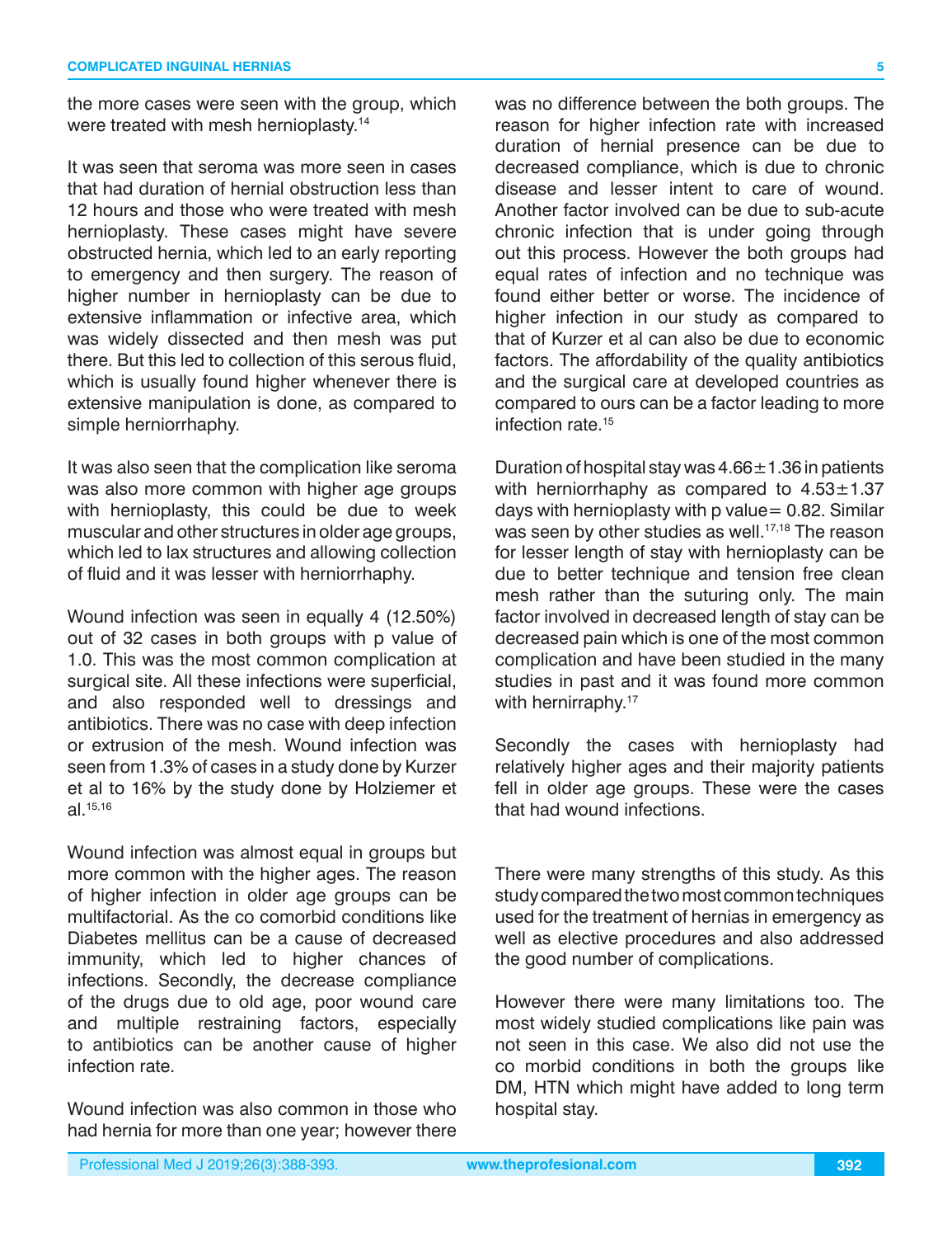the more cases were seen with the group, which were treated with mesh hernioplasty.<sup>14</sup>

It was seen that seroma was more seen in cases that had duration of hernial obstruction less than 12 hours and those who were treated with mesh hernioplasty. These cases might have severe obstructed hernia, which led to an early reporting to emergency and then surgery. The reason of higher number in hernioplasty can be due to extensive inflammation or infective area, which was widely dissected and then mesh was put there. But this led to collection of this serous fluid, which is usually found higher whenever there is extensive manipulation is done, as compared to simple herniorrhaphy.

It was also seen that the complication like seroma was also more common with higher age groups with hernioplasty, this could be due to week muscular and other structures in older age groups, which led to lax structures and allowing collection of fluid and it was lesser with herniorrhaphy.

Wound infection was seen in equally 4 (12.50%) out of 32 cases in both groups with p value of 1.0. This was the most common complication at surgical site. All these infections were superficial, and also responded well to dressings and antibiotics. There was no case with deep infection or extrusion of the mesh. Wound infection was seen from 1.3% of cases in a study done by Kurzer et al to 16% by the study done by Holziemer et al.15,16

Wound infection was almost equal in groups but more common with the higher ages. The reason of higher infection in older age groups can be multifactorial. As the co comorbid conditions like Diabetes mellitus can be a cause of decreased immunity, which led to higher chances of infections. Secondly, the decrease compliance of the drugs due to old age, poor wound care and multiple restraining factors, especially to antibiotics can be another cause of higher infection rate.

Wound infection was also common in those who had hernia for more than one year; however there was no difference between the both groups. The reason for higher infection rate with increased duration of hernial presence can be due to decreased compliance, which is due to chronic disease and lesser intent to care of wound. Another factor involved can be due to sub-acute chronic infection that is under going through out this process. However the both groups had equal rates of infection and no technique was found either better or worse. The incidence of higher infection in our study as compared to that of Kurzer et al can also be due to economic factors. The affordability of the quality antibiotics and the surgical care at developed countries as compared to ours can be a factor leading to more infection rate <sup>15</sup>

Duration of hospital stay was  $4.66 \pm 1.36$  in patients with herniorrhaphy as compared to  $4.53 \pm 1.37$ days with hernioplasty with  $p$  value = 0.82. Similar was seen by other studies as well.<sup>17,18</sup> The reason for lesser length of stay with hernioplasty can be due to better technique and tension free clean mesh rather than the suturing only. The main factor involved in decreased length of stay can be decreased pain which is one of the most common complication and have been studied in the many studies in past and it was found more common with hernirraphy.<sup>17</sup>

Secondly the cases with hernioplasty had relatively higher ages and their majority patients fell in older age groups. These were the cases that had wound infections.

There were many strengths of this study. As this study compared the two most common techniques used for the treatment of hernias in emergency as well as elective procedures and also addressed the good number of complications.

However there were many limitations too. The most widely studied complications like pain was not seen in this case. We also did not use the co morbid conditions in both the groups like DM, HTN which might have added to long term hospital stay.